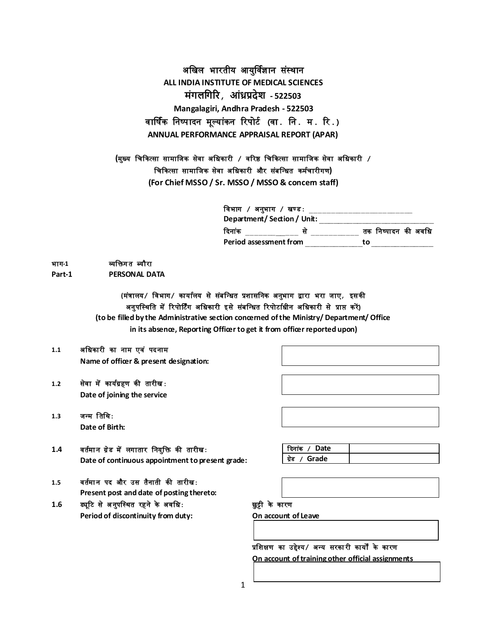अखिल भारतीय आयुर्विज्ञान संस्थान **ALL INDIA INSTITUTE OF MEDICAL SCIENCES मंगलगगरि, आंध्रप्रदेश - 522503 Mangalagiri, Andhra Pradesh - 522503** वार्षिक खनष्पादन मूलयांकन ररपोर्ि **(**वा**.** खन**.** म**.** रर**.) ANNUAL PERFORMANCE APPRAISAL REPORT (APAR)**

**(**मुख्य खिककत्सा सामाखिक सेवा अखिकारी **/** वररष्ठ खिककत्सा सामाखिक सेवा अखिकारी **/** <u>चिकित्सा सामाजिक सेवा अधिकारी और संबन्धित कर्मचारीगण)</u> **(For Chief MSSO / Sr. MSSO / MSSO & concern staff)**

> खवभाग **/** अनुभाग **/** िण्ड**:** \_\_\_\_\_\_\_\_\_\_\_\_\_\_\_\_\_\_\_\_\_\_\_\_ **Department/ Section / Unit:** \_\_\_\_\_\_\_\_\_\_\_\_\_\_\_\_\_\_\_\_\_\_\_\_ दिनांक \_\_\_\_\_\_\_\_\_\_\_\_\_\_\_\_ से \_\_\_\_\_\_\_\_\_\_\_\_\_ तक निष्पादन की अवधि **Period assessment from** \_\_\_\_\_\_\_\_\_\_\_\_**to** \_\_\_\_\_\_\_\_\_\_\_\_\_

भाग-1 **व्यक्तिगत ब्यौरा Part-1 PERSONAL DATA**

> **(**म ंत्रालय**/** खवभाग**/** कायािलय सेस ंबखधित प्रशासखनक अनुभाग द्वारा भरा िाए**,** इसकी अनुपखस्थखत मेंररपोर्र्िंग अखिकारी इसेस ंबखधित ररपोर्ाििीन अखिकारी से प्राप्त करें**) (to be filled by the Administrative section concerned of the Ministry/ Department/ Office in its absence, Reporting Officer to get it from officer reported upon)**

**1.1** अखिकारी का नाम एव ं पदनाम

**Name of officer & present designation:** 

- **1.2** सेवा मेंकायिग्रहण की तारीि**: Date of joining the service**
- 1.3 जन्म तिथि: **Date of Birth:**
- 1.4 वर्तमान ग्रेड में लगातार नियुक्ति की तारीख: **Date of continuous appointment to present grade:**
- कदना ंक **/ Date** ग्र ेड **/ Grade**

- 1.5 वर्तमान पद और उस तैनाती की तारीख: **Present post and date of posting thereto:**
- 1.6 ड्यूटि से अनुपस्थित रहने के अवधि: **we say that we say that we were set of the set of the set of the set of Period of discontinuity from duty: On account of Leave**

प्रखशक्षण का उद्देश्य**/** अधय सरका री कायों के कारण **On account of training other official assignments**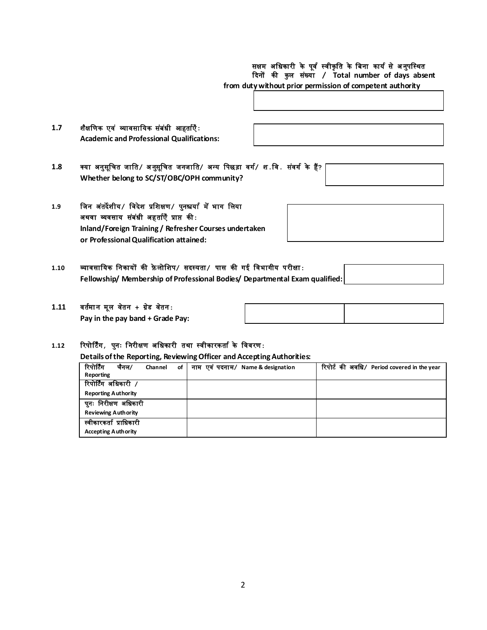# सक्षम अधिकारी के पूर्व स्वीकृति के बिना कार्य से अनुपस्थित कदनों की कु ल स ंख्या **/ Total number of days absent**

**from dutywithout prior permission of competent authority**

| 1.7 | शैक्षणिक एवं व्यावसायिक संबंधी आहर्ताएँ:         |  |
|-----|--------------------------------------------------|--|
|     | <b>Academic and Professional Qualifications:</b> |  |

- **1.8** क्या अनुसूखित िाखत**/** अ नुसूखित िनिाखत**/** अधय खपछड़ा वगि**/** श**.**खव**.** स ंवगि के हैं**? Whether belong to SC/ST/OBC/OPH community?**
- **1.9** खिन अ ंतदेशीय**/** खवदेश प्रखशक्षण**/** पुनश्चयाि मेंभाग खलया अथवा व्यवसाय स ंब ंिी अहतािएँ प्राप्त की**: Inland/Foreign Training / Refresher Courses undertaken or Professional Qualification attained:**
- **1.10** व्यावसाखयक खनकायों की फ़े लोखशप**/** सदस्यता**/** पास की गई खवभागीय परीक्षा**:** Fellowship/ Membership of Professional Bodies/ Departmental Exam
- 1.11 वर्तमान मूल वेतन + ग्रेड वेतन: **Pay in the pay band + Grade Pay:**

## **1.12** ररपोर्र्िंग**,** पुनः ख नरीक्षण अखिकारी तथा स्वीकारकताि के खववरण**:**

**Details of the Reporting, Reviewing Officer and Accepting Authorities:**

| रिपोर्टिंग<br>चैनल/        | of<br>Channel | नाम एवं पदनाम/ Name & designation | रिपोर्ट की अवधि/ Period covered in the year |  |  |
|----------------------------|---------------|-----------------------------------|---------------------------------------------|--|--|
| Reporting                  |               |                                   |                                             |  |  |
| रिपोर्टिंग अधिकारी /       |               |                                   |                                             |  |  |
| <b>Reporting Authority</b> |               |                                   |                                             |  |  |
| पुनः निरीक्षण अधिकारी      |               |                                   |                                             |  |  |
| <b>Reviewing Authority</b> |               |                                   |                                             |  |  |
| स्वीकारकर्ता प्राधिकारी    |               |                                   |                                             |  |  |
| <b>Accepting Authority</b> |               |                                   |                                             |  |  |

| qualified: |  |
|------------|--|
|            |  |
|            |  |
|            |  |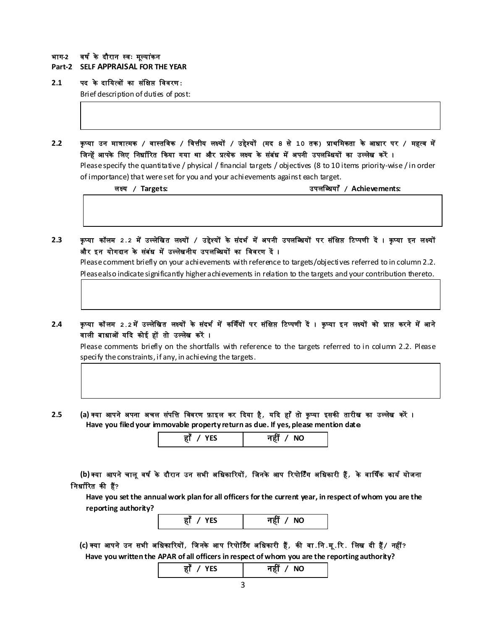#### भाग**-2** वषि के दौरान स्वः मूलया ंकन

**Part-2 SELF APPRAISAL FOR THE YEAR**

## **2.1** पद के दाखयत्वों का स ंखक्षप्त खववरण**:**

Brief description of duties of post:

**2.2** कृ प्या उन मात्रात्मक **/** वास्तखवक **/** खवत्तीय लक्ष्यों **/** उद्देश्यों **(**मद **8** से **10** तक**)** प्राथखमकता के आिार पर **/** महत्व में जिन्हें आपके लिए निर्धारित किया गया था और प्रत्येक लक्ष्य के संबंध में अपनी उपलब्धियों का उल्लेख करें । Please specify the quantitative / physical / financial targets / objectives (8 to 10 items priority-wise / in order of importance) that were set for you and your achievements against each target.

लक्ष्य **/ Targets:** उपलखब्िया ँ **/ Achievements:** 

2.3 कृप्या कॉलम 2.2 में उल्लेखित लक्ष्यों / उद्देश्यों के संदर्भ में अपनी उपलब्धियों पर संक्षिप्त टिप्पणी दें । कृप्या इन लक्ष्यों और इन योगदान के संबंध में उल्लेखनीय उपलब्धियों का विवरण दें ।

Please comment briefly on your achievements with reference to targets/objectives referred to in column 2.2. Please also indicate significantly higher achievements in relation to the targets and your contribution thereto.

2.4 कृप्या कॉलम 2.2 में उल्लेखित लक्ष्यों के संदर्भ में कर्मियों पर संक्षिप्त टिप्पणी दें । कृप्या इन लक्ष्यों को प्राप्त करने में आने वाली बाधाओं यदि कोई हों तो उल्लेख करें ।

Please comments briefly on the shortfalls with reference to the targets referred to in column 2.2. Please specify the constraints, if any, in achieving the targets.

2.5 (a) क्या आपने अपना अचल संपत्ति विवरण फ़ाइल कर दिया है*,* यदि हाँ तो कृप्या इसकी तारीख का उल्लेख करें ।  **Have you filed your immovable property return as due. If yes, please mention date**

| v.  | NI.               |
|-----|-------------------|
| $-$ | $\cdot$ - $\cdot$ |
|     |                   |

**(b)** क्या आपनेिालूवषि के दौरान उन सभी अखिकाररयों**,** खिनके आप ररपोर्र्िंग अखिकारी हैं**,** के वार्षिक कायि योिना ख निािररत की हैं**?** 

 **Have you set the annual work plan for all officers for the current year, in respect of whom you are the reporting authority?**



**(c)** क्या आपने उन सभी अखिकाररयों**,** खि नके आप ररपोर्र्िंग अखिकारी हैं**,** की वा**.**खन**.**मू**.**रर**.** खलि दी हैं**/** नहीं**? Have you written the APAR of all officers in respect of whom you are the reporting authority?**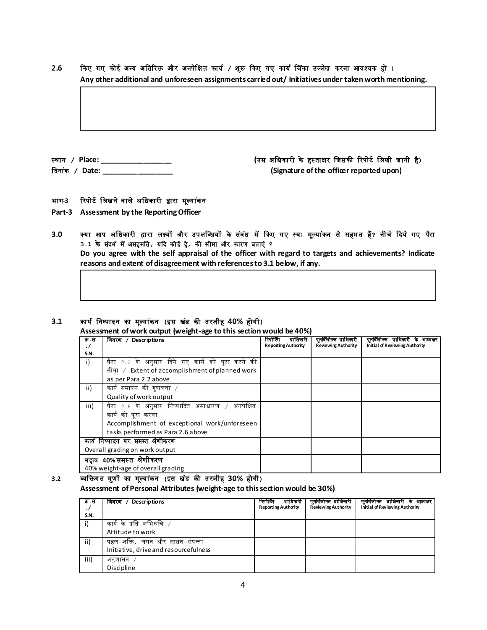कदना ंक **/ Date: \_\_\_\_\_\_\_\_\_\_\_\_\_\_\_\_\_\_ (Signature of the officer reported upon)**

# **2.6** ककए गए कोई अधय अखतररि और अनपेखक्षत कायि **/** श ुरू ककए गए कायि जि ंका उललेि करना आवश्यक हो ।

भाग-3 रिपोर्ट लिखने वाले अधिकारी द्वारा मूल्यांकन

- **Part-3 Assessment by the Reporting Officer**
- 3.0 क्या आप अधिकारी द्वारा लक्ष्यों और उपलब्धियों के संबंध में किए गए स्वः मूल्यांकन से सहमत हैं? नीचे दिये गए पैरा **3.1** के संदभि मेंअसहमखत**,** यकद कोई है**,** की सीमा और कारण बताएं **? Do you agree with the self appraisal of the officer with regard to targets and achievements? Indicate reasons and extent of disagreement with references to 3.1 below, if any.**

## **3.1** कायि खनष्पादन का मूलया ंकन **(**इस ि ंड की तरिीह **40%** होगी**)**

**Assessment of work output (weight-age to this section would be 40%)**

| क.स<br>. / | विवरण / Descriptions                              | रिपोर्टिंग<br>प्राधिकरी<br><b>Reporting Authority</b> | पनर्विलोका प्राधिकारी<br><b>Reviewing Authority</b> | पुनर्विलोका प्राधिकारी के आध्यक्षर<br>Initial of Reviewing Authority |
|------------|---------------------------------------------------|-------------------------------------------------------|-----------------------------------------------------|----------------------------------------------------------------------|
| S.N.       |                                                   |                                                       |                                                     |                                                                      |
| i)         | पैरा 2.2 के अनुसार दिये गए कार्य को पूरा करने की  |                                                       |                                                     |                                                                      |
|            | सीमा / Extent of accomplishment of planned work   |                                                       |                                                     |                                                                      |
|            | as per Para 2.2 above                             |                                                       |                                                     |                                                                      |
| ii)        | कार्य समापन की गुणवत्ता /                         |                                                       |                                                     |                                                                      |
|            | Quality of work output                            |                                                       |                                                     |                                                                      |
| iii)       | अनपेक्षित<br>पैरा 2.6 के अनुसार निष्पादित असाधारण |                                                       |                                                     |                                                                      |
|            | कार्य को पूरा करना                                |                                                       |                                                     |                                                                      |
|            | Accomplishment of exceptional work/unforeseen     |                                                       |                                                     |                                                                      |
|            | tasks performed as Para 2.6 above                 |                                                       |                                                     |                                                                      |
|            | कार्य निष्पादन पर समस्त श्रेणीकरण                 |                                                       |                                                     |                                                                      |
|            | Overall grading on work output                    |                                                       |                                                     |                                                                      |
|            | महत्व 40%समस्त श्रेणीकरण                          |                                                       |                                                     |                                                                      |
|            | 40% weight-age of overall grading                 |                                                       |                                                     |                                                                      |

**3.2** व्यखिग त ग ुणों का मूलया ंकन **(**इस ि ंड की तरिीह **30%** होगी**) Assessment of Personal Attributes (weight-age to this section would be 30%)**

| क.स<br>$\cdot$ /<br>S.N. | विवरण / Descriptions                                                    | रिपोर्टिंग<br>प्राधिकारी<br><b>Reporting Authority</b> | पुनर्विलोका प्राधिकारी<br><b>Reviewing Authority</b> | पुनर्विलोक्न प्राधिकारी के आध्यक्षर<br>Initial of Reviewing Authority |
|--------------------------|-------------------------------------------------------------------------|--------------------------------------------------------|------------------------------------------------------|-----------------------------------------------------------------------|
|                          | कार्य के प्रति अभिरुचि<br>Attitude to work                              |                                                        |                                                      |                                                                       |
| ii)                      | पहल शक्ति, लगन और साधन–संपन्ता<br>Initiative, drive and resourcefulness |                                                        |                                                      |                                                                       |
| iii)                     | अनुशासन<br>Discipline                                                   |                                                        |                                                      |                                                                       |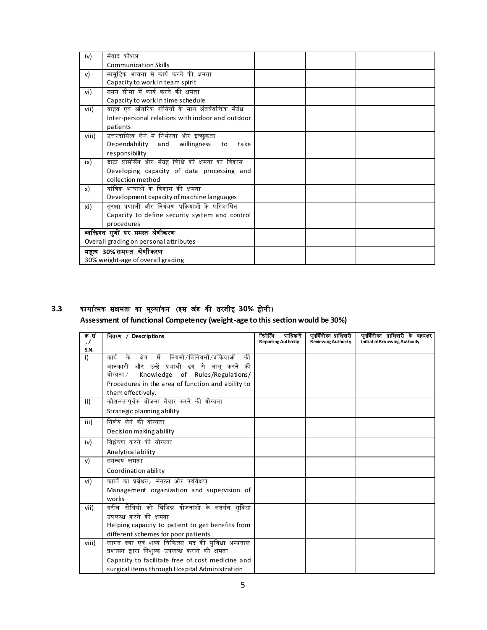| iv)          | संवाद कौशल                                          |  |  |
|--------------|-----------------------------------------------------|--|--|
|              | <b>Communication Skills</b>                         |  |  |
| $\mathsf{v}$ | सामूहिक भावना से कार्य करने की क्षमता               |  |  |
|              | Capacity to work in team spirit                     |  |  |
| vi)          | समय सीमा में कार्य करने की क्षमता                   |  |  |
|              | Capacity to work in time schedule                   |  |  |
| vii)         | वाहय एवं आंतरिक रोगियों के साथ अंतर्वेयक्तिक संबंध  |  |  |
|              | Inter-personal relations with indoor and outdoor    |  |  |
|              | patients                                            |  |  |
| viii)        | उत्तरदायित्व लेने में निर्भरता और इच्छुकता          |  |  |
|              | Dependability and<br>willingness<br>take<br>to      |  |  |
|              | responsibility                                      |  |  |
| ix)          | डाटा प्रोसेसिंग और संग्रह विधि की क्षमता का विकास   |  |  |
|              | Developing capacity of data processing and          |  |  |
|              | collection method                                   |  |  |
| x)           | यांत्रिक भाषाओं के विकास की क्षमता                  |  |  |
|              | Development capacity of machine languages           |  |  |
| xi)          | सुरक्षा प्रणाली और नियंत्रण प्रक्रियाओं के परिभाषित |  |  |
|              | Capacity to define security system and control      |  |  |
|              | procedures                                          |  |  |
|              | व्यक्तिगत गुणों पर समस्त श्रेणीकरण                  |  |  |
|              | Overall grading on personal attributes              |  |  |
|              | महत्व 30%समस्त श्रेणीकरण                            |  |  |
|              | 30% weight-age of overall grading                   |  |  |

# **3.3** कायाित्मक सक्षमता का मूलया ंकन **(**इस ि ंड की तरिीह **30%** होगी**)**

**Assessment of functional Competency (weight-age to this section would be 30%)**

| क .सं             | विवरण / Descriptions                                   | रिपोर्टिंग<br>प्राधिकारी   | पूनर्विलोकन प्राधिकारी     | पूनर्विलोका प्राधिकारी के आध्यक्षर |
|-------------------|--------------------------------------------------------|----------------------------|----------------------------|------------------------------------|
| $\cdot$ /<br>S.N. |                                                        | <b>Reporting Authority</b> | <b>Reviewing Authority</b> | Initial of Reviewing Authority     |
| i)                | कार्य के क्षेत्र में नियमों/विनियमों/प्रक्रियाओं<br>की |                            |                            |                                    |
|                   | जानकारी और उन्हें प्रभावी ढंग से लागू करने की          |                            |                            |                                    |
|                   | योग्यता ⁄<br>Knowledge of Rules/Regulations/           |                            |                            |                                    |
|                   | Procedures in the area of function and ability to      |                            |                            |                                    |
|                   | them effectively.                                      |                            |                            |                                    |
| ii)               | कौशलतापूर्वक योजना तैयार करने की योग्यता               |                            |                            |                                    |
|                   | Strategic planning ability                             |                            |                            |                                    |
| iii)              | निर्णय लेने की योग्यता                                 |                            |                            |                                    |
|                   | Decision making ability                                |                            |                            |                                    |
| iv)               | विश्लेषण करने की योग्यता                               |                            |                            |                                    |
|                   | Analytical ability                                     |                            |                            |                                    |
| v)                | समन्वय क्षमता                                          |                            |                            |                                    |
|                   | Coordination ability                                   |                            |                            |                                    |
| vi)               | कार्यों का प्रबंधन <i>,</i> संगठन और पर्यवेक्षण        |                            |                            |                                    |
|                   | Management organization and supervision of             |                            |                            |                                    |
|                   | works                                                  |                            |                            |                                    |
| vii)              | गरीब रोगियों को विभिन्न योजनाओं के अंतर्गत सुविधा      |                            |                            |                                    |
|                   | उपलब्ध करने की क्षमता                                  |                            |                            |                                    |
|                   | Helping capacity to patient to get benefits from       |                            |                            |                                    |
|                   | different schemes for poor patients                    |                            |                            |                                    |
| viii)             | लागत दवा एवं शल्य चिकित्सा मद की सुविधा अस्पताल        |                            |                            |                                    |
|                   | प्रशासन द्वारा निशुल्क उपलब्ध कराने की क्षमता          |                            |                            |                                    |
|                   | Capacity to facilitate free of cost medicine and       |                            |                            |                                    |
|                   | surgical items through Hospital Administration         |                            |                            |                                    |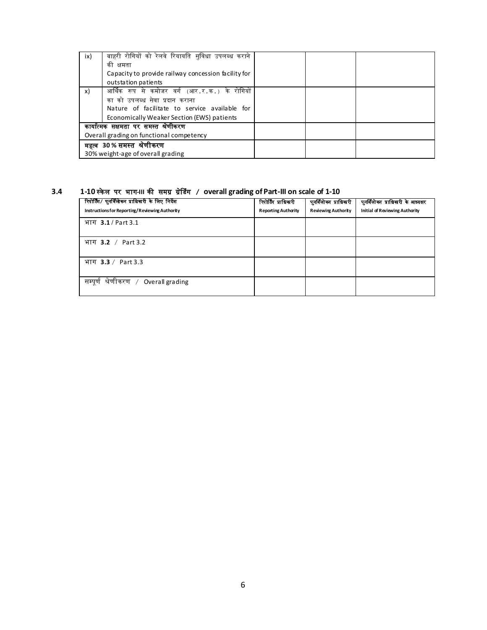| ix) | बाहरी रोगियों को रेलवे रियायति सुविधा उपलब्ध कराने<br>की<br>क्षमता<br>Capacity to provide railway concession facility for<br>outstation patients                               |  |  |
|-----|--------------------------------------------------------------------------------------------------------------------------------------------------------------------------------|--|--|
| x)  | आर्थिक रूप से कमोजर वर्ग (आर.र.क.) के रोगियों<br>का को उपलब्ध सेवा प्रदान कराना<br>Nature of facilitate to service available for<br>Economically Weaker Section (EWS) patients |  |  |
|     | कायात्मक सक्षमता पर समस्त श्रेणीकरण<br>Overall grading on functional competency                                                                                                |  |  |
|     | महत्व 30% समस्त श्रेणीकरण<br>30% weight-age of overall grading                                                                                                                 |  |  |

# **3.4 1-10** स्के ल पर भाग**-III** की समग्र ग्र ेजडंग **/ overall grading of Part-III on scale of 1-10**

| रिपोर्टिंग/ पुनर्विलोकन प्राधिकारी के लिए निर्देश<br>Instructions for Reporting/Reviewing Authority | रिपोर्टिंग प्राधिकारी<br><b>Reporting Authority</b> | पुनर्विलोका प्राधिकारी<br><b>Reviewing Authority</b> | पुनर्विलोका प्राधिकारी के आध्यक्षर<br>Initial of Reviewing Authority |
|-----------------------------------------------------------------------------------------------------|-----------------------------------------------------|------------------------------------------------------|----------------------------------------------------------------------|
| भाग 3.1 / Part 3.1                                                                                  |                                                     |                                                      |                                                                      |
| भाग <b>3.2</b> / Part 3.2                                                                           |                                                     |                                                      |                                                                      |
| भाग 3.3 / Part 3.3                                                                                  |                                                     |                                                      |                                                                      |
| सम्पूर्ण श्रेणीकरण  /<br>Overall grading                                                            |                                                     |                                                      |                                                                      |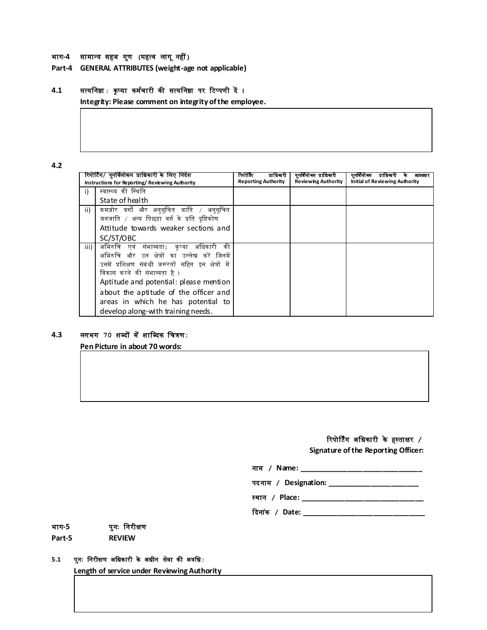#### भाग**-4** सामाधय सहि ग ुण **(**महत्व लाग ूनहीं**)**

**Part-4 GENERAL ATTRIBUTES (weight-age not applicable)**

## **4.1** सत्यखनष्ठा**:** कृ प्या कमििारी की सत्यखनष्ठा पर रर्प्पणी दें ।

**Integrity: Please comment on integrity of the employee.**

#### **4.2**

|      | रिपोर्टिंग/ पुनर्विलोकन प्राधिकारी के लिए निर्देश    | प्राधिकारी<br>रिपोर्टिंग   | पुनर्विलोकन प्राधिकारी     | पुनावलाका<br>प्रााधकारा<br>आध्यक्षर   |
|------|------------------------------------------------------|----------------------------|----------------------------|---------------------------------------|
|      | Instructions for Reporting/Reviewing Authority       | <b>Reporting Authority</b> | <b>Reviewing Authority</b> | <b>Initial of Reviewing Authority</b> |
| i)   | स्वास्थ्य की स्थिति                                  |                            |                            |                                       |
|      | State of health                                      |                            |                            |                                       |
| ii)  | कमज़ोर वर्गों और अनुसूचित जाति / अनुसूचित            |                            |                            |                                       |
|      | जनजाति / अन्य पिछड़ा वर्ग के प्रति दृष्टिकोण         |                            |                            |                                       |
|      | Attitude towards weaker sections and                 |                            |                            |                                       |
|      | SC/ST/OBC                                            |                            |                            |                                       |
| iii) | की<br>अभिरुचि एवं संभाव्यता:<br>आधेकारी<br>कप्या     |                            |                            |                                       |
|      | अभिरुचि और उन क्षेत्रों का उल्लेख करें जिनमें        |                            |                            |                                       |
|      | उसमें प्रशिक्षण संबंधी जरूरतों सहित इन क्षेत्रों में |                            |                            |                                       |
|      | विकास करने की संभाव्यता है ।                         |                            |                            |                                       |
|      | Aptitude and potential: please mention               |                            |                            |                                       |
|      | about the aptitude of the officer and                |                            |                            |                                       |
|      | areas in which he has potential to                   |                            |                            |                                       |
|      | develop along-with training needs.                   |                            |                            |                                       |

## **4.3** लगभग **70** शब्दों मेंशाखब्दक खित्रण**:**

**Pen Picture in about 70 words:**

# ररपोर्र्िंग अखिकारी के हस्ताक्षर **/**

**Signature of the Reporting Officer:**

नाम **/ Name: \_\_\_\_\_\_\_\_\_\_\_\_\_\_\_\_\_\_\_\_\_\_\_\_\_\_\_\_\_\_\_**

पदनाम **/ Designation: \_\_\_\_\_\_\_\_\_\_\_\_\_\_\_\_\_\_\_\_\_\_\_**

स्थान **/ Place: \_\_\_\_\_\_\_\_\_\_\_\_\_\_\_\_\_\_\_\_\_\_\_\_\_\_\_\_\_\_\_**

कदना ंक **/ Date: \_\_\_\_\_\_\_\_\_\_\_\_\_\_\_\_\_\_\_\_\_\_\_\_\_\_\_\_\_\_\_**

#### भाग**-5** पुनः खनरीक्षण

**Part-5 REVIEW**

# **5.1** प ुनः खनरीक्षण अखिकारी के अिीन सेवा की अवखि**:**

**Length of service under Reviewing Authority**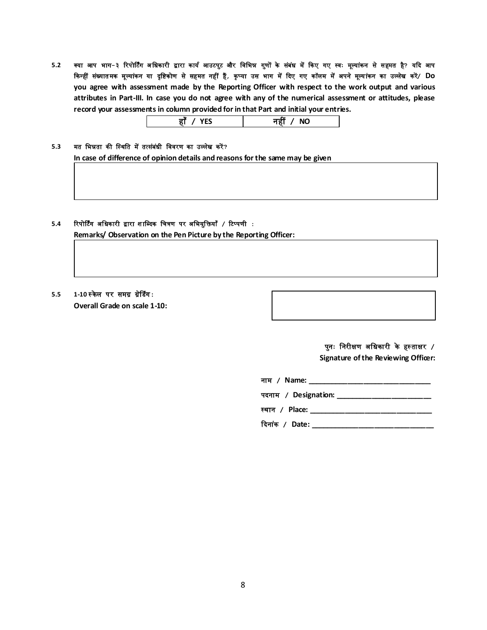5.2 क्या आप भाग-३ रिपोर्टिंग अधिकारी द्वारा कार्य आउटपुट और विभिन्न गुणों के संबंध में किए गए स्वः मूल्यांकन से सहमत है? यदि आप किन्हीं संख्यातमक मूल्यांकन या दृष्टिकोण से सहमत नहीं हैं, कृप्या उस भाग में दिए गए कॉलम में अपने मूल्यांकन का उल्लेख करें/ Do **you agree with assessment made by the Reporting Officer with respect to the work output and various attributes in Part-III. In case you do not agree with any of the numerical assessment or attitudes, please record your assessments in column provided for in that Part and initial your entries.**

|--|

#### 5.3 मत भिन्नता की स्थिति में तत्संबंधी विवरण का उल्लेख करें?

**In case of difference of opinion details and reasons for the same may be given** 

## **5.4** ररपोर्र्िंग अखिकारी द्वारा श ाखब्दक खित्रण पर अखभयुखियाँ **/** रर्प्पणी **: Remarks/ Observation on the Pen Picture by the Reporting Officer:**

# **5.5 1-10** स्के ल पर समग्र ग्र ेजडंग**: Overall Grade on scale 1-10:**

पुनः खनरीक्षण अखिकारी के हस् ताक्षर **/** 

**Signature of the Reviewing Officer:** 

| नाम / Name: प्राप्त कार्य का प्राप्त करने के साथ प्राप्त करने के साथ प्राप्त करने के साथ प्राप्त करने के साथ प |
|----------------------------------------------------------------------------------------------------------------|
| पदनाम / Designation: __________________________                                                                |
| स्थान / Place: $\blacksquare$                                                                                  |
| दिनांक / Date:                                                                                                 |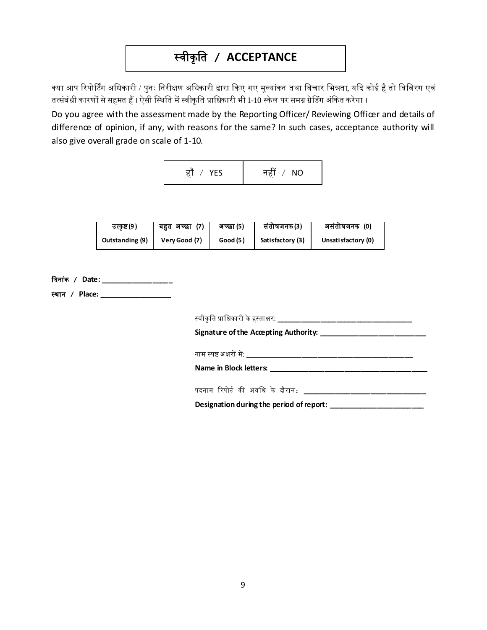# स्वीकृ खत **/ ACCEPTANCE**

क्या आप रिपोर्टिंग अधिकारी / पुनः निरीक्षण अधिकारी द्वारा किए गए मूल्यांकन तथा विचार भिन्नता, यदि कोई है तो विविरण एवं तत्संबंधी कारणों से सहमत हैं । ऐसी स्थिति में स्वीकृति प्राधिकारी भी 1-10 स्केल पर समग्र ग्रेडिंग अंकित करेगा ।

Do you agree with the assessment made by the Reporting Officer/ Reviewing Officer and details of difference of opinion, if any, with reasons for the same? In such cases, acceptance authority will also give overall grade on scale of 1-10.

| हाँ / YES | नहीं / $NO$ |
|-----------|-------------|
|           |             |

| उत्कृष्ट (9 )   | (7)<br>बहुत अच्छा | अच्छा (5) | संतोषजनक(3)      | असंतोषजनक (0)       |
|-----------------|-------------------|-----------|------------------|---------------------|
| Outstanding (9) | Very Good (7)     | Good (5)  | Satisfactory (3) | Unsati sfactory (0) |

| दिनांक / Date: __________________ |                                                                             |
|-----------------------------------|-----------------------------------------------------------------------------|
| स्थान / Place: _________________  |                                                                             |
|                                   |                                                                             |
|                                   |                                                                             |
|                                   |                                                                             |
|                                   |                                                                             |
|                                   | पदनाम रिपोर्ट की अवधि के दौरान: ______________ <b>___________________</b> _ |
|                                   | Designation during the period of report: _________________                  |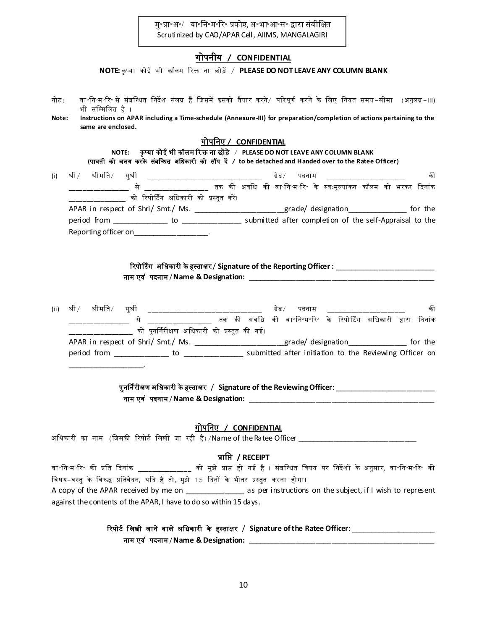म॰प्रा॰अ॰/ वा॰नि॰म॰रि॰ प्रकोष्ठ, अ॰भा॰आ॰स॰ द्वारा संवीक्षित Scrutinized by CAO/APAR Cell, AIIMS, MANGALAGIRI

## गोपनीय **/ CONFIDENTIAL**

**NOTE:** कृ प्या कोई भी कॉलम ररि ना छोड़ें/ **PLEASE DO NOT LEAVE ANY COLUMN BLANK**

नोर्: वा॰खन॰म॰रर॰ से संबखधित खनदेश संलग्न हैं खिसमें इसको तैयार करने/ पररपूणि करने के खलए खनयत समय-सीमा (अनुलग्न-III) भी सम्मिलित है । **Note: Instructions on APAR including a Time-schedule (Annexure-III) for preparation/completion of actions pertaining to the same are enclosed.** गोपखनए **/ CONFIDENTIAL NOTE: कृप्या कोई भी कॉलम रिक्त ना छोड़े / PLEASE DO NOT LEAVE ANY COLUMN BLANK (**पावती को अलग करके संबखधित अखिकारी को सौंप दें **/ to be detached and Handed over to the Ratee Officer)** (i) श्री/ श्रीमखत/ सुश्री \_\_\_\_\_\_\_\_\_\_\_\_\_\_\_\_\_\_\_\_\_\_\_\_\_\_\_\_\_\_\_\_ ग्रेड/ पदनाम \_\_\_\_\_\_\_\_\_\_\_\_\_\_\_\_\_\_\_\_\_\_ की \_\_\_\_\_\_\_\_\_\_\_\_\_\_\_\_\_ से \_\_\_\_\_\_\_\_\_\_\_\_\_\_\_\_\_\_ तक की अवखि की वा॰खन॰म॰रर॰ के स्वःमूलयांकन कॉलम को भरकर कदनांक

\_\_\_\_\_\_\_\_\_\_\_\_\_\_\_\_ को ररपोर्र्िंग अखिकारी को प्रस्तुत करें । APAR in respect of Shri/ Smt./ Ms. \_\_\_\_\_\_\_\_\_\_\_\_\_\_\_\_\_\_\_\_\_\_\_grade/ designation\_\_\_\_\_\_\_\_\_\_\_\_\_\_\_\_\_ for the period from \_\_\_\_\_\_\_\_\_\_\_\_\_\_ to \_\_\_\_\_\_\_\_\_\_\_\_\_\_\_ submitted after completion of the self-Appraisal to the Reporting officer on

| रिपोर्टिंग  अधिकारी के हस्ताक्षर / Signature of the Reporting Officer : |  |
|-------------------------------------------------------------------------|--|
| नाम एवं पदनाम/Name & Designation:                                       |  |

(ii) श्री श्रीमति सुश्री \_\_\_\_\_\_\_\_\_\_\_\_\_\_\_\_\_\_\_\_\_\_\_\_\_\_\_\_\_ ग्रेड पदनाम \_\_\_\_\_\_\_\_\_\_\_\_\_\_\_\_\_\_\_ की \_\_\_\_\_\_\_\_\_\_\_\_\_\_\_\_\_ से \_\_\_\_\_\_\_\_\_\_\_\_\_\_\_\_\_\_ तक की अवखि की वा॰खन॰म॰रर॰ के ररपोर्र्िंग अखिकारी द्वारा कदनांक \_\_\_\_\_\_\_\_\_\_\_\_\_\_\_\_\_\_ को पुनर्निरीक्षण अखिकारी को प्रस्तुत की गई। APAR in respect of Shri/ Smt./ Ms. \_\_\_\_\_\_\_\_\_\_\_\_\_\_\_\_\_\_\_\_\_\_\_\_grade/ designation\_\_\_\_\_\_\_\_\_\_\_\_\_\_\_\_\_\_ for the period from \_\_\_\_\_\_\_\_\_\_\_\_\_\_ to \_\_\_\_\_\_\_\_\_\_\_\_\_\_\_ submitted after initiation to the Reviewing Officer on \_\_\_\_\_\_\_\_\_\_\_\_\_\_\_\_\_\_\_.

> पुनर्निरीक्षण अखिकारी केहस्ताक्षर / **Signature of the Reviewing Officer**: \_\_\_\_\_\_\_\_\_\_\_\_\_\_\_\_\_\_\_\_\_\_\_\_\_ नाम एव ं पदनाम / **Name & Designation:** \_\_\_\_\_\_\_\_\_\_\_\_\_\_\_\_\_\_\_\_\_\_\_\_\_\_\_\_\_\_\_\_\_\_\_\_\_\_\_\_\_\_\_\_\_\_\_

> > गोपखनए **/ CONFIDENTIAL**

अधिकारी का नाम (जिसकी रिपोर्ट लिखी जा रही है) /Name of the Ratee Officer

## प्राखप्त **/ RECEIPT**

वा॰खन॰म॰रर॰ की प्रखत कदनांक \_\_\_\_\_\_\_\_\_\_\_\_\_\_\_ को मुझे प्राप्त हो गई है । संबखधित खवषय पर खनदेशों के अनुसार, वा॰खन॰म॰रर॰ की विषय-वस्तु के विरुद्ध प्रतिवेदन, यदि है तो, मुझे 15 दिनों के भीतर प्रस्तुत करना होगा। A copy of the APAR received by me on an under the subject, if I wish to represent against the contents of the APAR, I have to do so within 15 days.

# रिपोर्ट लिखी जाने वाले अधिकारी के हस्ताक्षर / Signature of the Ratee Officer:

नाम एव ं पदनाम / **Name & Designation:** \_\_\_\_\_\_\_\_\_\_\_\_\_\_\_\_\_\_\_\_\_\_\_\_\_\_\_\_\_\_\_\_\_\_\_\_\_\_\_\_\_\_\_\_\_\_\_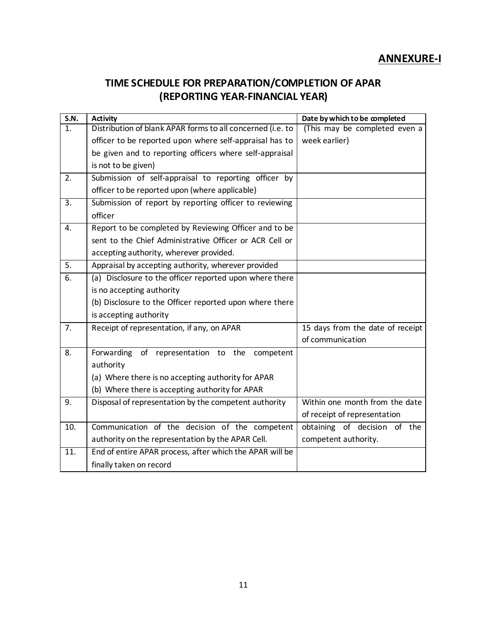# **ANNEXURE-I**

# **TIME SCHEDULE FOR PREPARATION/COMPLETION OF APAR (REPORTING YEAR-FINANCIAL YEAR)**

| S.N.             | <b>Activity</b>                                            | Date by which to be completed    |
|------------------|------------------------------------------------------------|----------------------------------|
| 1.               | Distribution of blank APAR forms to all concerned (i.e. to | (This may be completed even a    |
|                  | officer to be reported upon where self-appraisal has to    | week earlier)                    |
|                  | be given and to reporting officers where self-appraisal    |                                  |
|                  | is not to be given)                                        |                                  |
| 2.               | Submission of self-appraisal to reporting officer by       |                                  |
|                  | officer to be reported upon (where applicable)             |                                  |
| $\overline{3}$ . | Submission of report by reporting officer to reviewing     |                                  |
|                  | officer                                                    |                                  |
| $\overline{4}$ . | Report to be completed by Reviewing Officer and to be      |                                  |
|                  | sent to the Chief Administrative Officer or ACR Cell or    |                                  |
|                  | accepting authority, wherever provided.                    |                                  |
| 5.               | Appraisal by accepting authority, wherever provided        |                                  |
| 6.               | (a) Disclosure to the officer reported upon where there    |                                  |
|                  | is no accepting authority                                  |                                  |
|                  | (b) Disclosure to the Officer reported upon where there    |                                  |
|                  | is accepting authority                                     |                                  |
| 7.               | Receipt of representation, if any, on APAR                 | 15 days from the date of receipt |
|                  |                                                            | of communication                 |
| 8.               | Forwarding<br>of representation to the<br>competent        |                                  |
|                  | authority                                                  |                                  |
|                  | (a) Where there is no accepting authority for APAR         |                                  |
|                  | (b) Where there is accepting authority for APAR            |                                  |
| 9.               | Disposal of representation by the competent authority      | Within one month from the date   |
|                  |                                                            | of receipt of representation     |
| 10.              | Communication of the decision of the competent             | obtaining of decision of the     |
|                  | authority on the representation by the APAR Cell.          | competent authority.             |
| 11.              | End of entire APAR process, after which the APAR will be   |                                  |
|                  | finally taken on record                                    |                                  |